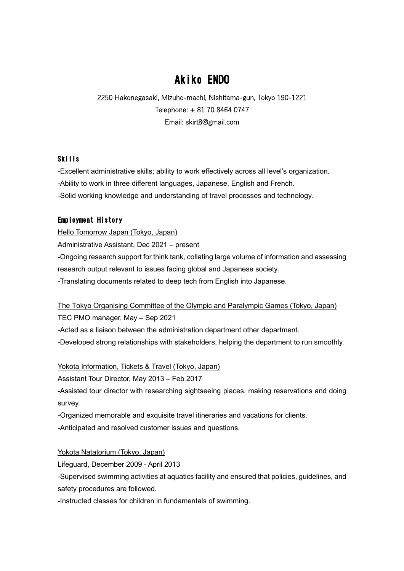# Akiko ENDO

2250 Hakonegasaki, Mizuho-machi, Nishitama-gun, Tokyo 190-1221 Telephone: + 81 70 8464 0747 Email: skirt8@gmail.com

#### Skills

-Excellent administrative skills; ability to work effectively across all level's organization.

-Ability to work in three different languages, Japanese, English and French.

-Solid working knowledge and understanding of travel processes and technology.

# Employment History

Hello Tomorrow Japan (Tokyo, Japan) Administrative Assistant, Dec 2021 – present -Ongoing research support for think tank, collating large volume of information and assessing research output relevant to issues facing global and Japanese society. -Translating documents related to deep tech from English into Japanese.

The Tokyo Organising Committee of the Olympic and Paralympic Games (Tokyo, Japan) TEC PMO manager, May – Sep 2021

-Acted as a liaison between the administration department other department.

-Developed strong relationships with stakeholders, helping the department to run smoothly.

Yokota Information, Tickets & Travel (Tokyo, Japan)

Assistant Tour Director, May 2013 – Feb 2017

-Assisted tour director with researching sightseeing places, making reservations and doing survey.

-Organized memorable and exquisite travel itineraries and vacations for clients.

-Anticipated and resolved customer issues and questions.

Yokota Natatorium (Tokyo, Japan)

Lifeguard, December 2009 - April 2013

-Supervised swimming activities at aquatics facility and ensured that policies, guidelines, and safety procedures are followed.

-Instructed classes for children in fundamentals of swimming.